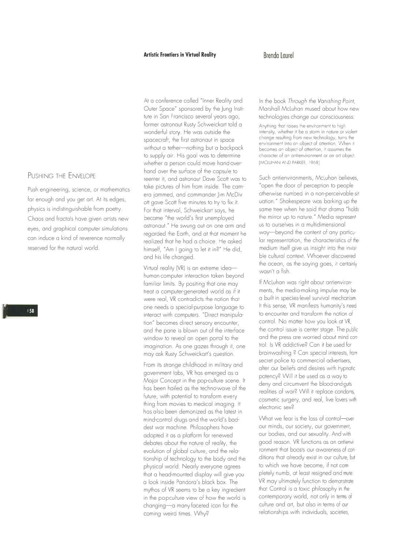## **Artistic Frontiers in Virtuol Reality**

# **Brenda Laurel**

# PUSHING THE ENVELOPE

Push engineering, science, or mathematics for enough and you get art. At its edges, physics is indistinguishable from poetry. Chaos and fractals hove given artists new eyes, and graphical computer simulations con induce a kind of reverence normally reserved for the natural world.

At a conference called "Inner Reality and Outer Space" sponsored by the Jung Institute in Son Francisco several years ago, former astronaut Rusty Schweickort told a wonderful story. He was outside the spacecraft, the first astronaut in space without a tether-nothing but a backpack to supply air. His goal was to determine whether a person could move hand-overhand over the surface of the capsule to reenter it, and astronaut Dove Scott was to toke pictures of him from inside. The camera jammed, and commander Jim McDiv ott gave Scott five minutes to try to fix it. For that interval, Schweickort soys, he become "the world's first unemployed astronaut." He swung out on one arm and regarded the Earth, and at that moment he realized that he hod a choice. He asked himself, "Am I going to let it in?" He did, and his life changed.

Virtual reality (VR) is an extreme ideahumon computer interaction token beyond familiar limits. By positing that one may treat a computer-generated world as if it were real, VR contradicts the notion that one needs a special-purpose language to interact with computers. "Direct manipulation" becomes direct sensory encounter, and the pone is blown out of the interface window to reveal on open portal to the imagination. As one gazes through it, one may ask Rusty Schweickort's question.

From its strange childhood in military and government lobs, VR hos emerged as a Major Concept in the pop-culture scene. It hos been hailed as the techno-wove of the future, with potential to transform everything from movies to medical imaging. It hos also been demonized as the latest in mind-control drugs and the world's baddest war machine. Philosophers hove adopted it as a platform for renewed debates about the nature of reality, the evolution of global culture, and the relationship of technology to the body and the physical world. Nearly everyone agrees that a head-mounted display will give you a look inside Pandora's black box. The mythos of VR seems to be a key ingredient in the popculture view of how the world is changing-a many faceted icon for the coming weird times. Why?

In the book *Through the Vanishing Point,*  Marshall McLuhan mused about how new technologies change our consciousness:

Anything that raises the environment to high intensity, whether it be a storm in nature or violent change resulting from new technology, turns the environment into an object of attention. When ii becomes an object of attention, it assumes the character of an antienvironment or an art object. [MCLUHAN AND PARKER, 1968]

Such ontienvironments, McLuhan believes, "open the door of perception to people otherwise numbed in a non-perceivable sit· uotion." Shakespeare was barking up the some tree when he said that drama "holds the mirror up to nature." Media represent us to ourselves in a multidimensional way-beyond the content of any porticu· lor representation, the characteristics of the medium itself give us insight into the invisi· ble cultural context. Whoever discovered the ocean, as the saying goes, it certainly wasn't a fish.

If McLuhan was right about ontienviron· ments, the media-making impulse may be a built in species-level survival mechanism. It this sense, VR manifests humanity's need to encounter and transform the notion of control. No matter how you look at VR, the control issue is center stage. The public and the press ore worried about mind con· trol: Is VR addictive? Con it be used for brainwashing ? Con special interests, from secret police to commercial advertisers, alter our beliefs and desires with hypnotic potency? Will it be used as a way to deny and circumvent the blood-and-guts realities of war? Will it replace condoms, cosmetic surgery, and real, live lovers with electronic sex?

What we fear is the loss of control-over our minds, our society, our government, our bodies, and our sexuality. And with good reason. VR functions as an antienvi· ronment that boosts our awareness of con· ditions that already exist in our culture, but to which we have become, if not completely numb, at least resigned and mute. VR may ultimately function to demonstrate that Control is a toxic philosophy in the contemporary world, not only in terms of culture and art, but also in terms of our relationships with individuals, societies,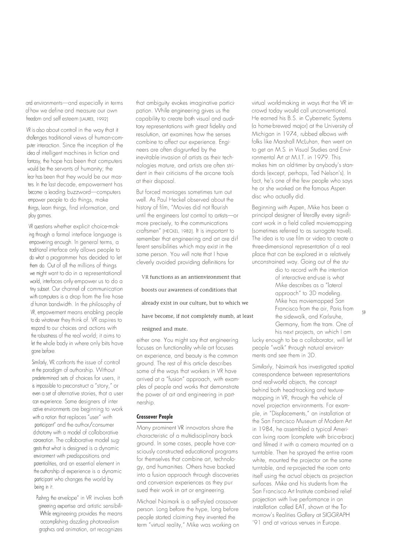and environments-and especially in terms of how we define and measure our own freedom and self-esteem [LAUREL, 1992]

YR is also about control in the way that it challenges traditional views of human-computer interaction. Since the inception of the idea of intelligent machines in fiction and fantasy, the hope has been that computers would be the servants of humanity; the fear has been that they would be our masters. In the last decade, empowerment has become a leading buzzword-computers empower people to do things, make things, learn things, find information, and play games.

YR questions whether explicit choice-making through a formal interface language is empowering enough. In general terms, a traditional interface only allows people to do what a programmer has decided to let them do. Out of all the millions of things we might want to do in a representational world, interfaces only empower us to do a tiny subset. Our channel of communication with computers is a drop from the fire hose of human bandwidth. In the philosophy of YR, empowerment means enabling people to do whatever they think of. VR aspires to respond to our choices and actions with the robustness of the real world; it aims to let the whole body in where only bits have gone before.

Similarly, VR confronts the issue of control in the paradigm of authorship. Without predetermined sets of choices for users, it is impossible to preconstruct a "story," or even a set of alternative stories, that a user can experience. Some designers of inter active environments ore beginning to work with a notion that replaces "user" with porticipant" and the author/consumer d chotomy with a model of collaborative co-creation. The collaborative model suggests that what is designed is a dynamic environment with predispositions and potentialities, and an essential element in the authorship of experience is a dynamic porticipont who changes the world by being in it.

Pushing the envelope" in VR involves both gineering expertise and artistic sensibili-While engineering provides the means accomplishing dazzling photorealism graphics and animation, art recognizes

that ambiguity evokes imaginative participation. While engineering gives us the capability to create both visual and auditory representations with great fidelity and resolution, art examines how the senses combine to affect our experience. Engineers are often disgruntled by the inevitable invasion of artists as their technologies mature, and artists are often strident in their criticisms of the arcane tools at their disposal.

But forced marriages sometimes turn out well. As Paul Heckel observed about the history of film, "Movies did not flourish until the engineers lost control to artists-or more precisely, to the communications craftsmen" [HECKEL, 1982]. It is important to remember that engineering and art are different sensibilities which may exist in the same person. You will note that I have cleverly avoided providing definitions for

**VR functions as an antienvironment that** 

boosts our awareness of conditions that

already exist in our culture, but to which we

have become, if not completely numb, at least

## **resigned and mute.**

either one. You might say that engineering focuses on functionality while art focuses on experience, and beauty is the common ground. The rest of this article describes some of the ways that workers in VR have arrived at a "fusion" approach, with examples of people and works that demonstrate the power of art and engineering in partnership.

## **Crossover People**

Many prominent VR innovators share the characteristic of a multidisciplinary back ground. In some cases, people have consciously constructed educational programs for themselves that combine art, technology, and humanities. Others have backed into a fusion approach through discoveries and conversion experiences as they pursued their work in art or engineering.

Michael Naimark is a self-styled crossover person. Long before the hype, long before people started claiming they invented the term "virtual reality," Mike was working on virtual world-making in ways that the VR incrowd today would call unconventional. He earned his B.S. in Cybernetic Systems (a home-brewed major) at the University of Michigan in 1974, rubbed elbows with folks like Marshall McLuhan, then went on to get an M.S. in Visual Studies and Environmental Art at M.I.T. in 1979. This makes him an old-timer by anybody's standards (except, perhaps, Ted Nelson's). In fact, he's one of the few people who says he or she worked on the famous Aspen disc who actually did.

Beginning with Aspen, Mike has been a principal designer of literally every significant work in a field called moviemapping (sometimes referred to as surrogate travel). The idea is to use film or video to create a three-dimensional representation of a real place that can be explored in a relatively unconstrained way. Going out of the stu-

> dio to record with the intention of interactive end-use is what Mike describes as a "lateral approach" to 3D modeling. Mike has moviemapped San Francisco from the air, Paris from the sidewalk, and Karlsruhe, Germany, from the tram. One of his next projects, on which I am

lucky enough to be a collaborator, will let people "walk" through natural environments and see them in 3D.

Similarly, Naimark has investigated spatial correspondence between representations and real-world objects, the concept behind both head-tracking and texturemapping in VR, through the vehicle of novel projection environments. For example, in "Displacements," an installation at the San Francisco Museum of Modern Art in 1984, he assembled a typical American living room (complete with bric-a-brac) and filmed it with a camera mounted on a turntable. Then he sprayed the entire room white, mounted the projector on the same turntable, and re-projected the room onto itself using the actual objects as projection surfaces. Mike and his students from the San Francisco Art Institute combined relief projection with live performance in an installation called EAT, shown at the Tomorrow's Realities Gallery at SIGGRAPH '91 and at various venues in Europe.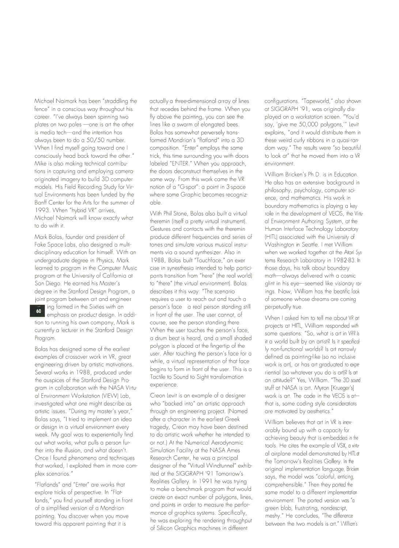Michael Naimark has been "straddling the fence" in a conscious way throughout his career. "I've always been spinning two plates on two poles -one is art the other is media tech-and the intention has always been to do a 50/50 number. When I find myself going toward one I consciously head back toward the other." Mike is also making technical contributions in capturing and employing cameraoriginated imagery to build 3D computer models. His Field Recording Study for Virtual Environments has been funded by the Banff Center for the Arts for the summer of 1993. When "hybrid VR" arrives, Michael Naimark will know exactly what to do with it.

Mark Bolas, founder and president of Fake Space Labs, also designed a multidisciplinary education for himself. With an undergraduate degree in Physics, Mark learned to program in the Computer Music program at the University of California at San Diego. He earned his Master's degree in the Stanford Design Program, a joint program between art and engineering formed in the Sixties with an  $\overline{60}$ 

emphasis on product design. In addition to running his own company, Mark is currently a lecturer in the Stanford Design Program.

Bolas has designed some of the earliest examples of crossover work in VR, great engineering driven by artistic motivations. Several works in 1988, produced under the auspices of the Stanford Design Program in collaboration with the NASA Virtual Environment Workstation (VIEW) Lab, investigated what one might describe as artistic issues. "During my master's year," Bolas says, "I tried to implement an idea or design in a virtual environment every week. My goal was to experientially find out what works, what pulls a person further into the illusion, and what doesn't. Once I found phenomena and techniques that worked, I exploited them in more complex scenarios."

"Flatlands" and "Enter" are works that explore tricks of perspective. In "Flatlands," you find yourself standing in front of a simplified version of a Mondrian painting. You discover when you move toward this apparent painting that it is

actually a three-dimensional array of lines that recedes behind the frame. When you fly above the painting, you can see the lines like a swarm of elongated bees. Bolas has somewhat perversely transformed Mondrian's "flatland" into a 3D composition. "Enter" employs the same trick, this time surrounding you with doors labeled "ENTER." When you approach, the doors deconstruct themselves in the same way. From this work came the VR notion of a "G-spot": a point in 3-space where some Graphic becomes recognizable.

With Phil Stone, Bolas also built a virtual theremin (itself a pretty virtual instrument). Gestures and contacts with the theremin produce different frequencies and series of tones and simulate various musical instruments via a sound synthesizer. Also in 1988, Bolas built "Touchface," an exer cise in synesthesia intended to help participants transition from "here" (the real world) to "there" (the virtual environment). Bolas describes it this way: "The scenario requires a user to reach out and touch a person's face-a real person standing still in front of the user. The user cannot, of course, see the person standing there. When the user touches the person's face, a drum beat is heard, and a small shaded polygon is placed at the fingertip of the user. After touching the person's face for a while, a virtual representation of that face begins to form in front of the user. This is a Tactile to Sound to Sight transformation experience.

Creon Levit is an example of a designer who "backed into" an artistic approach through an engineering project. (Named after a character in the earliest Greek tragedy, Creon may have been destined to do artistic work whether he intended to or not.) At the Numerical Aerodynamic Simulation Facility at the NASA Ames Research Center, he was a principal designer of the "Virtual Windtunnel" exhibited at the SIGGRAPH '91 Tomorrow's Realities Gallery. In 1991 he was trying to make a benchmark program that would create an exact number of polygons, lines, and points in order to measure the performance of graphics systems. Specifically, he was exploring the rendering throughput of Silicon Graphics machines in different

configurations. "Tapeworld," also shown at SIGGRAPH '91, was originally displayed on a workstation screen. "You'd say, 'give me 50,000 polygons,"' Levit explains, "and it would distribute them in these weird curly ribbons in a quasi-random way." The results were "so beautiful to look at" that he moved them into a VR environment.

William Bricken's Ph.D. is in Education. He also has an extensive background in philosophy, psychology, computer science, and mathematics. His work in boundary mathematics is playing a key role in the development of VEOS, the Virtual Environment Authoring System, at the Human Interface Technology Laboratory (HITL) associated with the University of Washington in Seattle. I met William when we worked together at the Atari Sys· terns Research Laboratory in 1982-83. In those days, his talk about boundary math-always delivered with a cosmic glint in his eye-seemed like visionary ravings. Now, William has the beatific look of someone whose dreams are coming perpetually true.

When I asked him to tell me about VR art projects at HITL, William responded with some questions: "So, what is art in VR? Is it a world built by an artist? Is it specifically non-functional worlds? Is art narrowly defined as painting-like (so no inclusive work is art), or has art graduated to experiential (so whatever you do is art)? Is art an attitude?" Yes, William. "The 3D sound stuff at NASA is art. Myron [Krueger's] work is art. The code in the VEOS is artthat is, some coding style considerations are motivated by aesthetics."

William believes that art in VR is inex· orably bound up with a capacity for achieving beauty that is embedded in lhe tools. He cites the example of VSX, a virtual airplane model demonstrated by HITl at the Tomorrow's Realities Gallery. In the original implementation language, Bricken says, the model was "colorful, enticing, comprehensible." Then they ported the same model to a different implementation environment. The ported version was 'a green blob, frustrating, nondescript, meshy." He concludes, "The difference between the two models is art." William's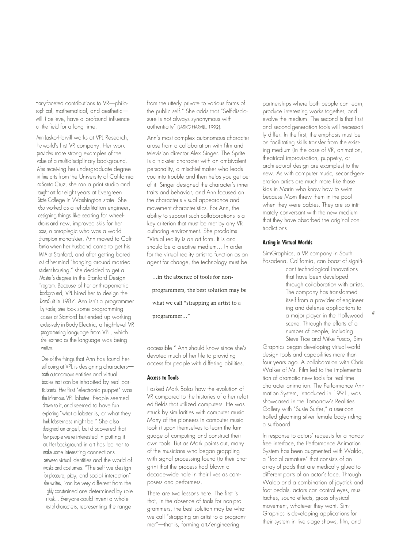many-faceted contributions to VR-philosophical, mathematical, and aestheticwill, I believe, have a profound influence on the field for a long time.

Ann Lasko-Harvill works at VPL Research, the world's first VR company. Her work provides more strong examples of the value of a multidisciplinary background. Atter receiving her undergraduate degree in fine arts from the University of California at Santa Cruz, she ran a print studio and taught art for eight years at Evergreen State College in Washington state. She also worked as a rehabilitation engineer, designing things like seating for wheelchairs and new, improved skis for her boss, a paraplegic who was a world champion mono-skier. Ann moved to Cali· fornia when her husband came to get his MFA at Stanford, and after getting bored out of her mind "hanging around married student housing," she decided to get a Master's degree in the Stanford Design Program. Because of her anthropometric background, VPL hired her to design the DataSuit in 1987. Ann isn't a programmer by trade; she took some programming classes at Stanford but ended up working exclusively in Body Electric, a high-level VR programming language from VPL, which she learned as the language was being written.

One of the things that Ann has found herself doing at VPL is designing charactersboth autonomous entities and virtual bodies that can be inhabited by real participants. Her first "electronic puppet" was the infamous VPL lobster. People seemed drawn to it, and seemed to have fun exploring "what a lobster is, or what they think lobsterness might be." She also designed an angel, but discovered that tew people were interested in putting it on. Her background in art has led her to make some interesting connections between virtual identities and the world of masks and costumes. "The self we design for pleasure, play, and social interaction" she writes, "can be very different from the ghly constrained one determined by role r task ... Everyone could invent a whole ast of characters, representing the range

from the utterly private to various forms of the public self." She adds that "Self-disclosure is not always synonymous with authenticity" [LASKO-HARVILL, 1992].

Ann's most complex autonomous character arose from a collaboration with film and television director Alex Singer. The Sprite is a trickster character with an ambivalent personality, a mischief maker who leads you into trouble and then helps you get out of it. Singer designed the character's inner traits and behavior, and Ann focused on the character's visual appearance and movement characteristics. For Ann, the ability to support such collaborations is a key criterion that must be met by any VR authoring environment. She proclaims: "Virtual reality is an art form. It is and should be a creative medium ... In order for the virtual reality artist to function as an agent for change, the technology must be

.. .in the absence of tools for non-

programmers, the best solution may be

what we call "strapping an artist to a

programmer..."

accessible." Ann should know since she's devoted much of her life to providing access for people with differing abilities.

## **Access to Tools**

I asked Mark Bolas how the evolution of VR compared to the histories of other related fields that utilized computers. He was struck by similarities with computer music. Many of the pioneers in computer music took it upon themselves to learn the language of computing and construct their own tools. But as Mark points out, many of the musicians who began grappling with signal processing found (to their chagrin) that the process had blown a decade-wide hole in their lives as composers and performers.

There are two lessons here. The first is that, in the absence of tools for non-programmers, the best solution may be what we call "strapping an artist to a programmer"-that is, forming art/engineering

partnerships where both people can learn, produce interesting works together, and evolve the medium. The second is that first and second-generation tools will necessarily differ. In the first, the emphasis must be on facilitating skills transfer from the existing medium (in the case of VR, animation, theatrical improvisation, puppetry, or architectural design are examples) to the new. As with computer music, second-generation artists are much more like those kids in Marin who know how to swim because Mom threw them in the pool when they were babies. They are so intimately conversant with the new medium that they have absorbed the original contradictions.

## **Acting in Virtual Worlds**

SimGraphics, a VR company in South Pasadena, California, can boast of significant technological innovations

that have been developed through collaboration with artists. The company has transformed itself from a provider of engineering and defense applications to a major player in the Hollywood scene. Through the efforts of a number of people, including Steve Tice and Mike Fusco, Sim-

Graphics began developing virtual-world design tools and capabilities more than four years ago. A collaboration with Chris Walker of Mr. Film led to the implementation of dramatic new tools for real-time character animation. The Performance Animation System, introduced in 1991, was showcased in the Tomorrow's Realities Gallery with "Susie Surfer," a user-controlled gleaming silver female body riding a surfboard.

In response to actors' requests for a handsfree interface, the Performance Animation System has been augmented with Waldo, a "facial armature" that consists of an array of pads that are medically glued to different parts of an actor's face. Through Waldo and a combination of joystick and foot pedals, actors can control eyes, mustaches, sound effects, gross physical movement, whatever they want. Sim-Graphics is developing applications for their system in live stage shows, film, and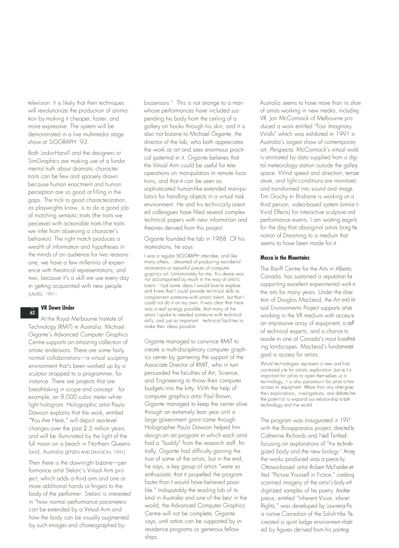of matching semiotic traits (the traits we we infer from observing a character's theories derived from this project. The day that aboriginal artists bring<br>In the day that are the day that are the day that are the day that are that a motion of Dreaming to a medium t behavior). The right match produces a Gigante founded the lab in 1988. Of his wealth of information and hypotheses in motivations, he says: the minds of an audience for two reasons: I was a regular SIGGRAPH attendee, and like **Mecca in the Mountains**  one, we have a few millennia of experi-<br>
animations or beautiful pieces of computer<br>
animations or beautiful pieces of computer ence with theatrical representations; and animations or beautiful pieces of computer The Banff Centre for the Arts in Alberta,<br>two because it's a skill we use event day graphics at Unfortunately for me, this desire was Can two, because it's a skill we use every day and proposition for me, this desire was canada, has sustained a reputation for<br>in getting acquainted with new people the thad some ideas I would love to explore supporting excelle in getting acquainted with new people talent. I had some ideas I would love to explore<br>and knew that I could provide technical skills to

# $62$

At the Royal Melbourne Institute of the skills, and just as important technical facilities to the content of technology (RMIT) in Australia, Michael make their ideas possible.<br>Technology (RMIT) in Australia, Michael make t Gigante's Advanced Computer Graphics<br>Computer of technical experts, and a chance to Centre supports an amazing collection of Gigante managed to convince RMIT to reside in one of Canada's most breamax<br>resident ing landscapes. Macleod's fundamental environment that's been worked up by a Associate Director of RMIT, who in turn<br>Sculptor stranged to a programmer for a new persuaded the faculties of Art. Science. light hologram. Holographic artist Paula Gigante managed to keep the center alive technologie technology and the Work entitled through an extremely lean year until a Dawson explains that the work, entitled through an extremely lean year until a<br>"You Are Here," will depict sea-level large government grant came through. full moon on a beach in Northern Queens-

formance artist Stelarc's Virtual Arm project, which adds a third arm and one or in "how normal performance parameters

television. It is likely that their techniques biosensors." This is not strange to a man Australia seems to have more than its share will revolutionize the production of anima- whose performances have included sus- of artists working in new media, including lion by making it cheaper, faster, and pending his body from the ceiling of a VR. Jon McCormack of Melbourne promore expressive. The system will be gallery on hooks through his skin, and it is duced a work entitled "Four Imaginary<br>demonstrated in a live multimedia stage also not bizarre to Michael Gigante, the Walls" which was exhib demonstrated in a live multimedia stage also not bizarre to Michael Gigante, the Walls" which was exhibited in 1991 in<br>Abow at SIGGRAPH 193 show at SIGGRAPH '93.<br>
the work as art and sees enormous practiants and the respecta. McCormack's virtual world Both Lasko-Harvill and the designers at the work as art and sees enormous practi- art, *Perspecto.* McCormack's virtual world SimGraphics are making use of a funda- cal potential in it. Gigante believes that is animated by data supplied from a digi· mental truth about dramatic character: the Virtual Arm could be useful for tele- tal meteorology station outside the gallery<br>the talk operations on manipulators in remote loca-space. Wind speed and direction, temper traits can be few and sparsely drawn operations on manipulators in remote loco- space. Wind speed and direction, temper· because human enactment and human lions, and that it can be seen as ature, and light conditions are monitored<br>sophisticated human-like extended manipu- and transformed into sound and image. perception are so good at filling in the sophisticated numan-like extended manipu- and transformed into sound and image.<br>In the sound of the sound into the sound into the sound and intervention of the sound and image. gaps. The trick to good characterization, lators for nandling objects in a virtual task Tim Gruchy in Brisbane is working on a<br>Environment. He and his technically orient third person, video-based system (similar to as playwrights know, is to do a good job environment. He and his technically orient third person, video-based system (similar to a good job ed collegaues have filled several complex Vivid Effects) for interactive sculpture ed colleagues have filled several complex Vivid Effects) for interactive sculpture and<br>technical papers with new information and performance events. I am waiting eagerly perceive) with actionable traits (the traits technical papers with new information and performance events. I am waiting eagerly<br>theories derived from this project. The day that aboriginal artists bring the transfer the day

mediate technical skills to the arts for many years. Under the direc-<br>[LAUREL, 1991] and knew that I could provide technical skills to the arts for many years. Under the direc-<br>complement someone with artistic talent, but complement someone with artistic talent, but that I lion of Douglas Macleod, the Art and Vir<br>could not do it on my own. It was clear that there<br>was a real syneraly possible that many of the liud Environments Project suppor **VR Down Under Was a real synergy possible, that many of the tual Environments Project supports artists<br>And the tual Environments Project supports artists<br>And the R medium with access to** artists I spoke to needed someone with technical working in the VR medium with access to article in the VR medium with access to an important technical facilities to a supprocess to an improcess to an important of the VR m

artistic endeavors. There are some fairly create a multi-disciplinary computer graph- ing landscapes. Macleo<br>Size experience the summer of the spaces for artists: normal collaborations-a virtual sculpting ics center by garnering the support of the goal is access for artists:<br>Environment that's been worked up by a consistence Director of RMIT, who in turn a consisted whologies repres entrominent that a been framed up by a contested site for artistic exploration. Just as it is exploration. Just as it is contested site for artistic exploration. Just as it is contently a contested site for artists to open instance. There are projects that are and Engineering to throw their computer technology, it is also paramount for artists to have the have the have the have the method of the state of throw their computer buckets to equip breathtaking in scope and concept for budgets into the kitty. With the help of access to equipment. More than any other group,<br>example, an 8,000 cubic meter white computer graphics artist Paul Brown, the responsions, inves example, an 8,000 cubic meter white- computer graphics artist Paul Brown,<br>Iight hologram, Holographic artist Paula Gigante managed to keep the center alive "You Are Here," will depict sea-level large government grant came through. The program was inaugurated in 1991 changes over the past 2.5 million years, Holographer Paula Dawson helped him with the Bioapparatus project, direcled by and will be illuminated by the light of the design an art program in which each artist Catherine Richards and Nell Tenhaaf,<br>full moon on a beach in Northern Queens-had a "buddy" from the research staff. Ini-focusing on exp land, Australia LIEPSEN AND DAWSON, 1991] tially, Gigante had difficulty gaining the gized body and the new biology." Among<br>It is the works produced was a piece by Then there is the downright bizarre-per-<br>he says, a key aroup of artists "were so Ditawa-based artist Robert McFadden ent artist Robert McFadden ent was a piece by he says, a key group of artists "were so<br>enthusiastic that it propelled the program enthusiastic that it propelled the program tled "Picture Yourself in Fiction," combining<br>faster than I would have believed possi-seanned imagery of the artist's body with more additional hands or fingers to the faster than I would have believed possi-<br>Facture is the facture of the facture of the sector or fingers to the facture of the sector or fingers to the<br>Facture of the sector or factur body of the performer. Stelarc is interested ble. This masputably the leading lab of its digital ble. This poetry. And in Australia and one of the best in the kind in Australia and one of the best in the piece, entitled "Inherent Vision, Inherent<br>world, the Advanced Computer Graphics Rights." was developed by Lawrence Pa can be extended by a Virtual Arm and world, the Advanced Computer Graphics Rights," was developed by Lawrence Pau<br>Centre will not be complete, Gigante a native Canadian of the Salish tribe. Pau how the body can be visually augmented Centre will not be complete, Gigante a native Canadian of the Salish tribe. Po, and the Salish tribe. Po, and the Salish tribe. Po, and the Salish tribe. Po, and the Salish tribe. Po, by such images and choreographed by says, unin ariists can be supported by in- created a spirit loage environment intia<br>''esidence programs or generous fellow and by figures derived from his paintings residence programs or generous fellow ships.

seems to have been made for it.

the potential to expand our relationship to both<br>technology and the world.